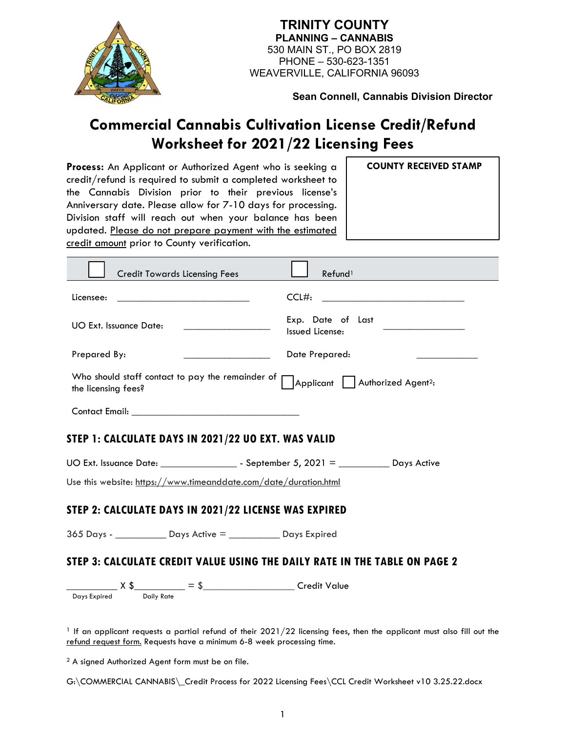

**Sean Connell, Cannabis Division Director**

# **Commercial Cannabis Cultivation License Credit/Refund Worksheet for 2021/22 Licensing Fees**

**Process:** An Applicant or Authorized Agent who is seeking a credit/refund is required to submit a completed worksheet to the Cannabis Division prior to their previous license's Anniversary date. Please allow for 7-10 days for processing. Division staff will reach out when your balance has been updated. Please do not prepare payment with the estimated credit amount prior to County verification.

**COUNTY RECEIVED STAMP**

| <b>Credit Towards Licensing Fees</b>                                                                                                                             | Refund <sup>1</sup>                  |  |
|------------------------------------------------------------------------------------------------------------------------------------------------------------------|--------------------------------------|--|
| Licensee:                                                                                                                                                        | CCL#                                 |  |
| UO Ext. Issuance Date:                                                                                                                                           | Exp. Date of Last<br>Issued License: |  |
| Prepared By:                                                                                                                                                     | Date Prepared:                       |  |
| Who should staff contact to pay the remainder of p<br>$\sqrt{\frac{1}{2}}$ Applicant $\sqrt{\frac{1}{2}}$ Authorized Agent <sup>2</sup> :<br>the licensing fees? |                                      |  |
| Contact Email:                                                                                                                                                   |                                      |  |

# **STEP 1: CALCULATE DAYS IN 2021/22 UO EXT. WAS VALID**

UO Ext. Issuance Date: \_\_\_\_\_\_\_\_\_\_\_\_\_\_\_ - September 5, 2021 = \_\_\_\_\_\_\_\_\_\_ Days Active

Use this website:<https://www.timeanddate.com/date/duration.html>

# **STEP 2: CALCULATE DAYS IN 2021/22 LICENSE WAS EXPIRED**

365 Days - \_\_\_\_\_\_\_\_\_\_ Days Active = \_\_\_\_\_\_\_\_\_\_ Days Expired

# **STEP 3: CALCULATE CREDIT VALUE USING THE DAILY RATE IN THE TABLE ON PAGE 2**

 $\frac{1}{\text{Days Expied}}$  X  $\text{\$}\frac{\text{Daisy Rate}}{\text{Daisy Rate}} = \text{\$}\frac{\text{Daisy Rate}}{\text{Daisy Rate}}$ 

<sup>1</sup> If an applicant requests a partial refund of their  $2021/22$  licensing fees, then the applicant must also fill out the refund request form. Requests have a minimum 6-8 week processing time.

<sup>2</sup> A signed Authorized Agent form must be on file.

G:\COMMERCIAL CANNABIS\ Credit Process for 2022 Licensing Fees\CCL Credit Worksheet v10 3.25.22.docx